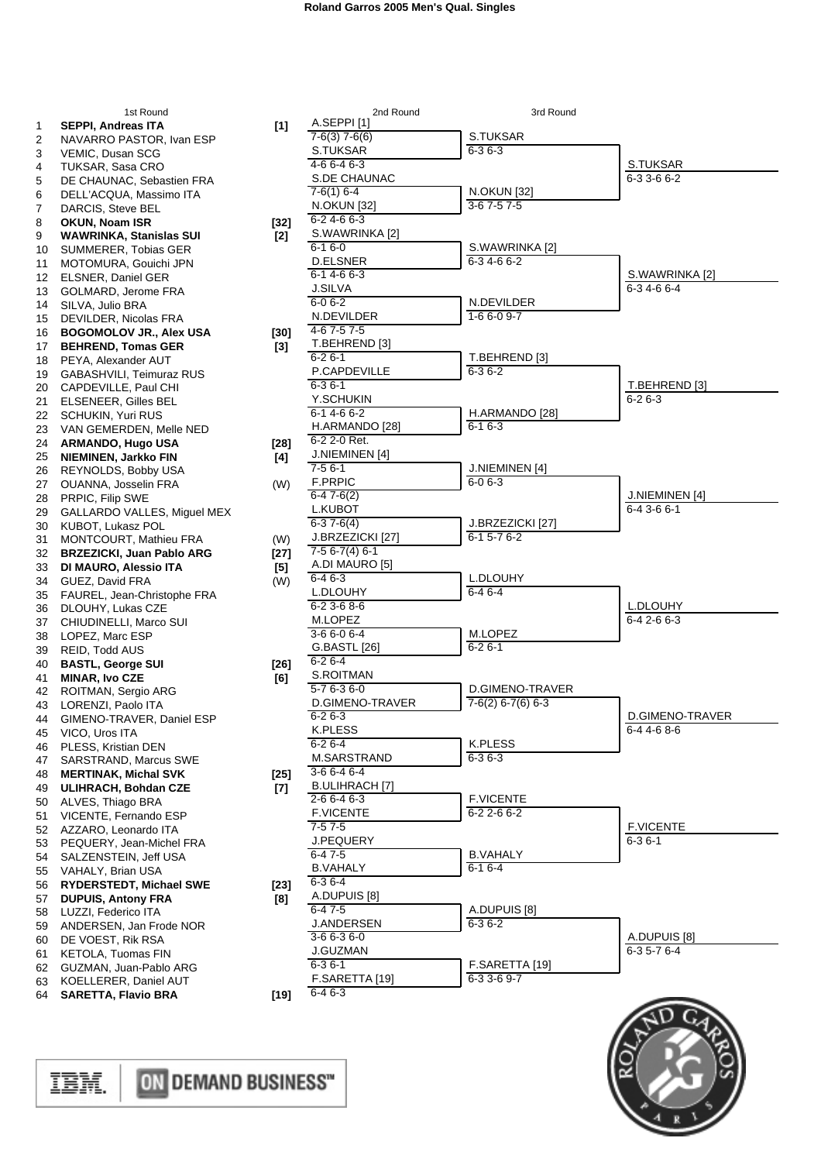| 1<br>2<br>3<br>4<br>5<br>6                   | 1311100110<br>SEPPI, Andreas ITA<br>NAVARRO PASTOR, Ivan ESP<br>VEMIC, Dusan SCG<br><b>TUKSAR, Sasa CRO</b><br>DE CHAUNAC, Sebastien FRA<br>DELL'ACQUA, Massimo ITA                                           | [1]                       |
|----------------------------------------------|---------------------------------------------------------------------------------------------------------------------------------------------------------------------------------------------------------------|---------------------------|
| 7<br>8<br>9<br>10<br>11<br>12<br>13<br>14    | DARCIS, Steve BEL<br><b>OKUN, Noam ISR</b><br><b>WAWRINKA, Stanislas SUI</b><br>SUMMERER, Tobias GER<br>MOTOMURA, Gouichi JPN<br>ELSNER, Daniel GER<br>GOLMARD, Jerome FRA<br>SILVA, Julio BRA                | $[32]$<br>[2]             |
| 15<br>16<br>17<br>18<br>19<br>20<br>21       | DEVILDER, Nicolas FRA<br><b>BOGOMOLOV JR., Alex USA</b><br><b>BEHREND, Tomas GER</b><br>PEYA, Alexander AUT<br>GABASHVILI, Teimuraz RUS<br>CAPDEVILLE, Paul CHI<br>ELSENEER, Gilles BEL                       | [30]<br>$\left[3\right]$  |
| 22<br>23<br>24<br>25<br>26<br>27             | <b>SCHUKIN, Yuri RUS</b><br>VAN GEMERDEN, Melle NED<br><b>ARMANDO, Hugo USA</b><br>NIEMINEN, Jarkko FIN<br>REYNOLDS, Bobby USA<br>OUANNA, Josselin FRA                                                        | $[28]$<br>[4]<br>(W)      |
| 28<br>29<br>30<br>31<br>32<br>33<br>34<br>35 | PRPIC, Filip SWE<br>GALLARDO VALLES, Miguel MEX<br>KUBOT, Lukasz POL<br>MONTCOURT, Mathieu FRA<br><b>BRZEZICKI, Juan Pablo ARG</b><br>DI MAURO, Alessio ITA<br>GUEZ, David FRA<br>FAUREL, Jean-Christophe FRA | (W)<br>[27]<br>[5]<br>(W) |
| 36<br>37<br>38<br>39<br>40<br>41             | DLOUHY, Lukas CZE<br>CHIUDINELLI, Marco SUI<br>LOPEZ, Marc ESP<br>REID, Todd AUS<br><b>BASTL, George SUI</b><br>MINAR, Ivo CZE                                                                                | [26]<br>[6]               |
| 42<br>43<br>44<br>45<br>46<br>47             | ROITMAN, Sergio ARG<br>LORENZI, Paolo ITA<br>GIMENO-TRAVER, Daniel ESP<br>VICO, Uros ITA<br>PLESS, Kristian DEN<br>SARSTRAND, Marcus SWE                                                                      |                           |
| 48<br>49<br>50<br>51<br>52<br>53<br>54       | <b>MERTINAK, Michal SVK</b><br><b>ULIHRACH, Bohdan CZE</b><br>ALVES, Thiago BRA<br>VICENTE, Fernando ESP<br>AZZARO, Leonardo ITA<br>PEQUERY, Jean-Michel FRA<br>SALZENSTEIN, Jeff USA                         | [25]<br>[7]               |
| 55<br>56<br>57<br>58<br>59<br>60<br>61<br>62 | VAHALY, Brian USA<br>RYDERSTEDT, Michael SWE<br><b>DUPUIS, Antony FRA</b><br>LUZZI, Federico ITA<br>ANDERSEN, Jan Frode NOR<br>DE VOEST, Rik RSA<br>KETOLA, Tuomas FIN<br>GUZMAN, Juan-Pablo ARG              | [23]<br>[8]               |
| 63<br>64                                     | KOELLERER, Daniel AUT<br><b>SARETTA, Flavio BRA</b>                                                                                                                                                           | [19]                      |

| 1st Round                          |        | 2nd Round                      | 3rd Round           |                  |
|------------------------------------|--------|--------------------------------|---------------------|------------------|
| Ireas ITA                          | $[1]$  | A.SEPPI[1]                     |                     |                  |
| PASTOR, Ivan ESP                   |        | $7-6(3)$ 7-6(6)                | S.TUKSAR            |                  |
| san SCG                            |        | S.TUKSAR                       | $6 - 36 - 3$        |                  |
| asa CRO                            |        | 4-6 6-4 6-3                    |                     | S.TUKSAR         |
| AC, Sebastien FRA                  |        | S.DE CHAUNAC                   |                     | 6-3 3-6 6-2      |
| JA, Massimo ITA                    |        | $7-6(1)$ 6-4                   | <b>N.OKUN [32]</b>  |                  |
| eve BEL:                           |        | <b>N.OKUN [32]</b>             | $3-67-57-5$         |                  |
| ım ISR                             | $[32]$ | $6 - 24 - 66 - 3$              |                     |                  |
| A, Stanislas SUI                   | $[2]$  | S.WAWRINKA [2]                 |                     |                  |
| R, Tobias GER                      |        | $6 - 16 - 0$                   | S.WAWRINKA [2]      |                  |
| A, Gouichi JPN                     |        | <b>D.ELSNER</b>                | 6-34-66-2           |                  |
| aniel GER                          |        | $6 - 14 - 66 - 3$              |                     | S.WAWRINKA [2]   |
| Jerome FRA                         |        | <b>J.SILVA</b>                 |                     | 6-34-66-4        |
| BRA (                              |        | $6 - 06 - 2$                   | N.DEVILDER          |                  |
| Nicolas FRA                        |        | N.DEVILDER                     | $1 - 66 - 09 - 7$   |                  |
| OV JR., Alex USA                   | [30]   | 4-67-57-5                      |                     |                  |
| <b>Tomas GER</b>                   |        | T.BEHREND [3]                  |                     |                  |
| ander AUT                          | $[3]$  | $6 - 26 - 1$                   | T.BEHREND [3]       |                  |
| LI, Teimuraz RUS                   |        | P.CAPDEVILLE                   | $6 - 36 - 2$        |                  |
|                                    |        | $6 - 36 - 1$                   |                     | T.BEHREND [3]    |
| .E, Paul CHI                       |        | Y.SCHUKIN                      |                     | $6 - 26 - 3$     |
| , Gilles BEL                       |        |                                |                     |                  |
| Yuri RUS                           |        | 6-14-66-2                      | H.ARMANDO [28]      |                  |
| RDEN, Melle NED                    |        | H.ARMANDO [28]                 | $6 - 16 - 3$        |                  |
| , Hugo USA                         | [28]   | 6-2 2-0 Ret.                   |                     |                  |
| Jarkko FIN                         | [4]    | J.NIEMINEN [4]                 |                     |                  |
| S, Bobby USA                       |        | 7-5 6-1                        | J.NIEMINEN [4]      |                  |
| losselin FRA                       | (W)    | <b>F.PRPIC</b>                 | $6 - 06 - 3$        |                  |
| ) SWE                              |        | $6-47-6(2)$                    |                     | J.NIEMINEN [4]   |
| VALLES, Miguel MEX                 |        | <b>L.KUBOT</b>                 |                     | 6-4 3-6 6-1      |
| kasz POL                           |        | $6-37-6(4)$                    | J.BRZEZICKI [27]    |                  |
| RT, Mathieu FRA                    | (W)    | J.BRZEZICKI [27]               | $6 - 15 - 76 - 2$   |                  |
| l, Juan Pablo ARG                  | [27]   | $7-56-7(4)6-1$                 |                     |                  |
| <b>Alessio ITA</b>                 | [5]    | A.DI MAURO [5]                 |                     |                  |
| id FRA                             |        | $6 - 46 - 3$                   | L.DLOUHY            |                  |
|                                    | (W)    | L.DLOUHY                       | $6 - 46 - 4$        |                  |
| ean-Christophe FRA                 |        | $6 - 23 - 68 - 6$              |                     | L.DLOUHY         |
| ukas CZE.                          |        | M.LOPEZ                        |                     | $6-42-66-3$      |
| LI, Marco SUI                      |        | $3-66-06-4$                    | M.LOPEZ             |                  |
| rc ESP                             |        | G.BASTL [26]                   | $6 - 26 - 1$        |                  |
| <b>AUS</b>                         |        |                                |                     |                  |
| orge SUI                           | [26]   | $6 - 26 - 4$                   |                     |                  |
| <b>CZE</b>                         | [6]    | S.ROITMAN                      |                     |                  |
| Sergio ARG                         |        | $5 - 76 - 36 - 0$              | D.GIMENO-TRAVER     |                  |
| <sup>o</sup> aolo ITA              |        | D.GIMENO-TRAVER                | $7-6(2)$ 6-7(6) 6-3 |                  |
| RAVER, Daniel ESP                  |        | $6 - 26 - 3$                   |                     | D.GIMENO-TRAVER  |
| <b>ITA</b>                         |        | <b>K.PLESS</b>                 |                     | 6-4 4-6 8-6      |
| stian DEN                          |        | $6 - 26 - 4$                   | <b>K.PLESS</b>      |                  |
| <b>ID, Marcus SWE</b>              |        | M.SARSTRAND                    | $6 - 36 - 3$        |                  |
| ., Michal SVK                      | $[25]$ | $3-66-46-4$                    |                     |                  |
| , Bohdan CZE                       | [7]    | <b>B.ULIHRACH [7]</b>          |                     |                  |
| ago BRA                            |        | $2 - 66 - 46 - 3$              | <b>F.VICENTE</b>    |                  |
| Fernando ESP                       |        | <b>F.VICENTE</b>               | 6-2 2-6 6-2         |                  |
| eonardo ITA                        |        | $7-57-5$                       |                     | <b>F.VICENTE</b> |
|                                    |        | <b>J.PEQUERY</b>               |                     | $6 - 36 - 1$     |
| Jean-Michel FRA                    |        | $6-47-5$                       | <b>B.VAHALY</b>     |                  |
| EIN, Jeff USA                      |        | <b>B.VAHALY</b>                | $6 - 16 - 4$        |                  |
| rian USA                           |        |                                |                     |                  |
|                                    | $[23]$ | $6 - 36 - 4$                   |                     |                  |
| <b>EDT, Michael SWE</b>            | [8]    | A.DUPUIS [8]                   |                     |                  |
| ntony FRA                          |        | $6 - 47 - 5$                   | A.DUPUIS [8]        |                  |
| erico ITA                          |        |                                |                     |                  |
| اډ, Jan Frode NOR                  |        | <b>J.ANDERSEN</b>              | 6-3 6-2             |                  |
| . Rik RSA                          |        | $3-66-36-0$                    |                     | A.DUPUIS [8]     |
|                                    |        | <b>J.GUZMAN</b>                |                     | $6-35-76-4$      |
| uomas FIN                          |        | $6 - 36 - 1$                   | F.SARETTA [19]      |                  |
| luan-Pablo ARG                     |        |                                | 6-3 3-6 9-7         |                  |
| R, Daniel AUT<br><b>Flavio BRA</b> | [19]   | F.SARETTA [19]<br>$6 - 46 - 3$ |                     |                  |



ON DEMAND BUSINESS"

IBM.